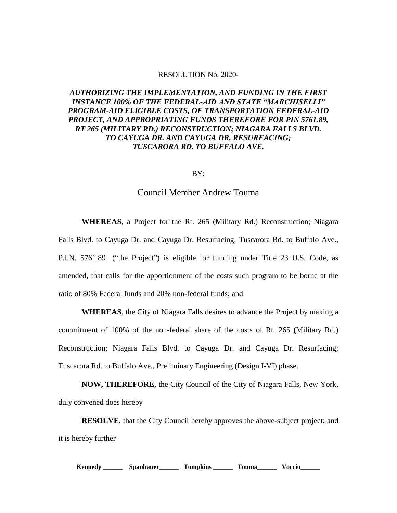## RESOLUTION No. 2020-

## *AUTHORIZING THE IMPLEMENTATION, AND FUNDING IN THE FIRST INSTANCE 100% OF THE FEDERAL-AID AND STATE "MARCHISELLI" PROGRAM-AID ELIGIBLE COSTS, OF TRANSPORTATION FEDERAL-AID PROJECT, AND APPROPRIATING FUNDS THEREFORE FOR PIN 5761.89, RT 265 (MILITARY RD.) RECONSTRUCTION; NIAGARA FALLS BLVD. TO CAYUGA DR. AND CAYUGA DR. RESURFACING; TUSCARORA RD. TO BUFFALO AVE.*

BY:

## Council Member Andrew Touma

**WHEREAS**, a Project for the Rt. 265 (Military Rd.) Reconstruction; Niagara Falls Blvd. to Cayuga Dr. and Cayuga Dr. Resurfacing; Tuscarora Rd. to Buffalo Ave., P.I.N. 5761.89 ("the Project") is eligible for funding under Title 23 U.S. Code, as amended, that calls for the apportionment of the costs such program to be borne at the ratio of 80% Federal funds and 20% non-federal funds; and

**WHEREAS**, the City of Niagara Falls desires to advance the Project by making a commitment of 100% of the non-federal share of the costs of Rt. 265 (Military Rd.) Reconstruction; Niagara Falls Blvd. to Cayuga Dr. and Cayuga Dr. Resurfacing; Tuscarora Rd. to Buffalo Ave., Preliminary Engineering (Design I-VI) phase.

**NOW, THEREFORE**, the City Council of the City of Niagara Falls, New York, duly convened does hereby

**RESOLVE**, that the City Council hereby approves the above-subject project; and it is hereby further

**Kennedy \_\_\_\_\_\_ Spanbauer\_\_\_\_\_\_ Tompkins \_\_\_\_\_\_ Touma\_\_\_\_\_\_ Voccio\_\_\_\_\_\_**